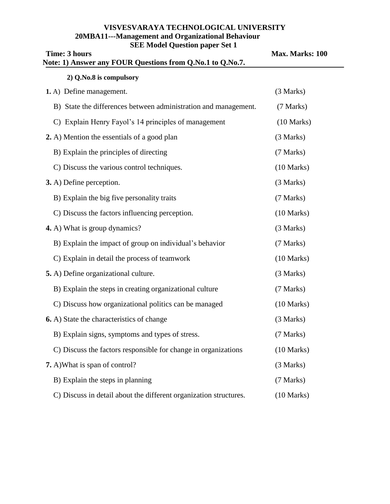# **VISVESVARAYA TECHNOLOGICAL UNIVERSITY 20MBA11---Management and Organizational Behaviour SEE Model Question paper Set 1**

| <b>Time: 3 hours</b><br>Note: 1) Answer any FOUR Questions from Q.No.1 to Q.No.7. | Max. Marks: 100      |
|-----------------------------------------------------------------------------------|----------------------|
| 2) Q.No.8 is compulsory                                                           |                      |
| 1. A) Define management.                                                          | (3 Marks)            |
| B) State the differences between administration and management.                   | (7 Marks)            |
| C) Explain Henry Fayol's 14 principles of management                              | $(10 \text{ Marks})$ |
| 2. A) Mention the essentials of a good plan                                       | (3 Marks)            |
| B) Explain the principles of directing                                            | (7 Marks)            |
| C) Discuss the various control techniques.                                        | $(10 \text{ Marks})$ |
| 3. A) Define perception.                                                          | (3 Marks)            |
| B) Explain the big five personality traits                                        | (7 Marks)            |
| C) Discuss the factors influencing perception.                                    | $(10 \text{ Marks})$ |
| 4. A) What is group dynamics?                                                     | (3 Marks)            |
| B) Explain the impact of group on individual's behavior                           | (7 Marks)            |
| C) Explain in detail the process of teamwork                                      | $(10 \text{ Marks})$ |
| 5. A) Define organizational culture.                                              | (3 Marks)            |
| B) Explain the steps in creating organizational culture                           | (7 Marks)            |
| C) Discuss how organizational politics can be managed                             | $(10 \text{ Marks})$ |
| <b>6.</b> A) State the characteristics of change                                  | (3 Marks)            |
| B) Explain signs, symptoms and types of stress.                                   | (7 Marks)            |
| C) Discuss the factors responsible for change in organizations                    | $(10 \text{ Marks})$ |
| 7. A) What is span of control?                                                    | (3 Marks)            |
| B) Explain the steps in planning                                                  | (7 Marks)            |
| C) Discuss in detail about the different organization structures.                 | $(10 \text{ Marks})$ |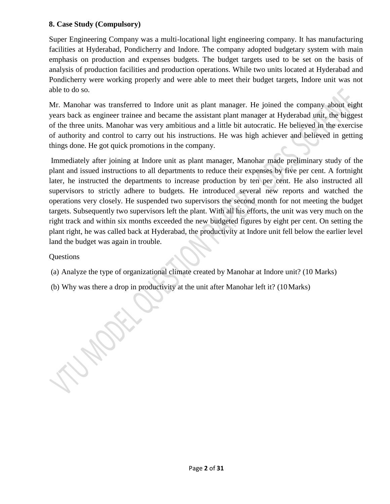# **8. Case Study (Compulsory)**

Super Engineering Company was a multi-locational light engineering company. It has manufacturing facilities at Hyderabad, Pondicherry and Indore. The company adopted budgetary system with main emphasis on production and expenses budgets. The budget targets used to be set on the basis of analysis of production facilities and production operations. While two units located at Hyderabad and Pondicherry were working properly and were able to meet their budget targets, Indore unit was not able to do so.

Mr. Manohar was transferred to Indore unit as plant manager. He joined the company about eight years back as engineer trainee and became the assistant plant manager at Hyderabad unit, the biggest of the three units. Manohar was very ambitious and a little bit autocratic. He believed in the exercise of authority and control to carry out his instructions. He was high achiever and believed in getting things done. He got quick promotions in the company.

Immediately after joining at Indore unit as plant manager, Manohar made preliminary study of the plant and issued instructions to all departments to reduce their expenses by five per cent. A fortnight later, he instructed the departments to increase production by ten per cent. He also instructed all supervisors to strictly adhere to budgets. He introduced several new reports and watched the operations very closely. He suspended two supervisors the second month for not meeting the budget targets. Subsequently two supervisors left the plant. With all his efforts, the unit was very much on the right track and within six months exceeded the new budgeted figures by eight per cent. On setting the plant right, he was called back at Hyderabad, the productivity at Indore unit fell below the earlier level land the budget was again in trouble.

# Questions

- (a) Analyze the type of organizational climate created by Manohar at Indore unit? (10 Marks)
- (b) Why was there a drop in productivity at the unit after Manohar left it? (10Marks)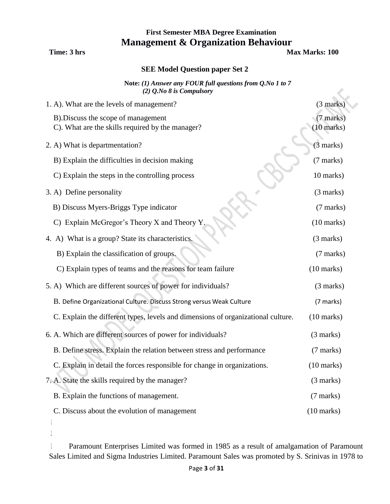# **First Semester MBA Degree Examination Management & Organization Behaviour**

**Time: 3 hrs Max Marks: 100** 

## **SEE Model Question paper Set 2**

**Note:** *(1) Answer any FOUR full questions from Q.No 1 to 7 (2) Q.No 8 is Compulsory*

| 1. A). What are the levels of management?                                               | $(3 \text{ marks})$               |
|-----------------------------------------------------------------------------------------|-----------------------------------|
| B). Discuss the scope of management<br>C). What are the skills required by the manager? | (7 marks)<br>$(10 \text{ marks})$ |
| 2. A) What is departmentation?                                                          | $(3 \text{ marks})$               |
| B) Explain the difficulties in decision making                                          | (7 marks)                         |
| C) Explain the steps in the controlling process                                         | 10 marks)                         |
| 3. A) Define personality                                                                | (3 marks)                         |
| B) Discuss Myers-Briggs Type indicator                                                  | (7 marks)                         |
| C) Explain McGregor's Theory X and Theory Y                                             | $(10 \text{ marks})$              |
| 4. A) What is a group? State its characteristics.                                       | (3 marks)                         |
| B) Explain the classification of groups.                                                | (7 marks)                         |
| C) Explain types of teams and the reasons for team failure                              | $(10 \text{ marks})$              |
| 5. A) Which are different sources of power for individuals?                             | (3 marks)                         |
| B. Define Organizational Culture. Discuss Strong versus Weak Culture                    | (7 marks)                         |
| C. Explain the different types, levels and dimensions of organizational culture.        | $(10 \text{ marks})$              |
| 6. A. Which are different sources of power for individuals?                             | (3 marks)                         |
| B. Define stress. Explain the relation between stress and performance                   | (7 marks)                         |
| C. Explain in detail the forces responsible for change in organizations.                | $(10 \text{ marks})$              |
| 7. A. State the skills required by the manager?                                         | (3 marks)                         |
| B. Explain the functions of management.                                                 | (7 marks)                         |
| C. Discuss about the evolution of management                                            | $(10 \text{ marks})$              |
|                                                                                         |                                   |

2.

3. Paramount Enterprises Limited was formed in 1985 as a result of amalgamation of Paramount Sales Limited and Sigma Industries Limited. Paramount Sales was promoted by S. Srinivas in 1978 to